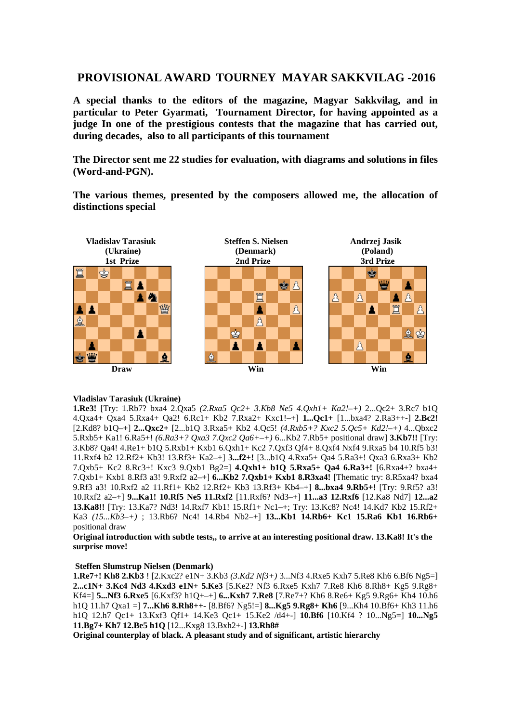# **PROVISIONAL AWARD TOURNEY MAYAR SAKKVILAG -2016**

**A special thanks to the editors of the magazine, Magyar Sakkvilag, and in particular to Peter Gyarmati, Tournament Director, for having appointed as a judge In one of the prestigious contests that the magazine that has carried out, during decades, also to all participants of this tournament** 

**The Director sent me 22 studies for evaluation, with diagrams and solutions in files (Word-and-PGN).** 

**The various themes, presented by the composers allowed me, the allocation of distinctions special** 



# **Vladislav Tarasiuk (Ukraine)**

**1.Re3!** [Try: 1.Rb7? bxa4 2.Qxa5 *(2.Rxa5 Qc2+ 3.Kb8 Ne5 4.Qxh1+ Ka2!–+)* 2...Qc2+ 3.Rc7 b1Q 4.Qxa4+ Qxa4 5.Rxa4+ Qa2! 6.Rc1+ Kb2 7.Rxa2+ Kxc1!–+] **1...Qc1+** [1...bxa4? 2.Ra3++-] **2.Bc2!**  [2.Kd8? b1Q–+] **2...Qxc2+** [2...b1Q 3.Rxa5+ Kb2 4.Qc5! *(4.Rxb5+? Kxc2 5.Qc5+ Kd2!–+)* 4...Qbxc2 5.Rxb5+ Ka1! 6.Ra5+! *(6.Ra3+? Qxa3 7.Qxc2 Qa6+–+)* 6...Kb2 7.Rb5+ positional draw] **3.Kb7!!** [Try: 3.Kb8? Qa4! 4.Re1+ b1Q 5.Rxb1+ Kxb1 6.Qxh1+ Kc2 7.Qxf3 Qf4+ 8.Qxf4 Nxf4 9.Rxa5 b4 10.Rf5 b3! 11.Rxf4 b2 12.Rf2+ Kb3! 13.Rf3+ Ka2–+] **3...f2+!** [3...b1Q 4.Rxa5+ Qa4 5.Ra3+! Qxa3 6.Rxa3+ Kb2 7.Qxb5+ Kc2 8.Rc3+! Kxc3 9.Qxb1 Bg2=] **4.Qxh1+ b1Q 5.Rxa5+ Qa4 6.Ra3+!** [6.Rxa4+? bxa4+ 7.Qxb1+ Kxb1 8.Rf3 a3! 9.Rxf2 a2–+] **6...Kb2 7.Qxb1+ Kxb1 8.R3xa4!** [Thematic try: 8.R5xa4? bxa4 9.Rf3 a3! 10.Rxf2 a2 11.Rf1+ Kb2 12.Rf2+ Kb3 13.Rf3+ Kb4–+] **8...bxa4 9.Rb5+!** [Try: 9.Rf5? a3! 10.Rxf2 a2–+] **9...Ka1! 10.Rf5 Ne5 11.Rxf2** [11.Rxf6? Nd3–+] **11...a3 12.Rxf6** [12.Ka8 Nd7] **12...a2 13.Ka8!!** [Try: 13.Ka7? Nd3! 14.Rxf7 Kb1! 15.Rf1+ Nc1–+; Try: 13.Kc8? Nc4! 14.Kd7 Kb2 15.Rf2+ Ka3 *(15...Kb3–+)* ; 13.Rb6? Nc4! 14.Rb4 Nb2–+] **13...Kb1 14.Rb6+ Kc1 15.Ra6 Kb1 16.Rb6+**  positional draw

**Original introduction with subtle tests,, to arrive at an interesting positional draw. 13.Ka8! It's the surprise move!** 

# **Steffen Slumstrup Nielsen (Denmark)**

**1.Re7+! Kh8 2.Kb3** ! [2.Kxc2? e1N+ 3.Kb3 *(3.Kd2 Nf3+)* 3...Nf3 4.Rxe5 Kxh7 5.Re8 Kh6 6.Bf6 Ng5=] **2...c1N+ 3.Kc4 Nd3 4.Kxd3 e1N+ 5.Ke3** [5.Ke2? Nf3 6.Rxe5 Kxh7 7.Re8 Kh6 8.Rh8+ Kg5 9.Rg8+ Kf4=] **5...Nf3 6.Rxe5** [6.Kxf3? h1Q+–+] **6...Kxh7 7.Re8** [7.Re7+? Kh6 8.Re6+ Kg5 9.Rg6+ Kh4 10.h6 h1Q 11.h7 Qxa1 =] **7...Kh6 8.Rh8++-** [8.Bf6? Ng5!=] **8...Kg5 9.Rg8+ Kh6** [9...Kh4 10.Bf6+ Kh3 11.h6 h1Q 12.h7 Qc1+ 13.Kxf3 Qf1+ 14.Ke3 Qc1+ 15.Ke2 /d4+-] **10.Bf6** [10.Kf4 ? 10...Ng5=] **10...Ng5 11.Bg7+ Kh7 12.Be5 h1Q** [12...Kxg8 13.Bxh2+-] **13.Rh8#** 

**Original counterplay of black. A pleasant study and of significant, artistic hierarchy**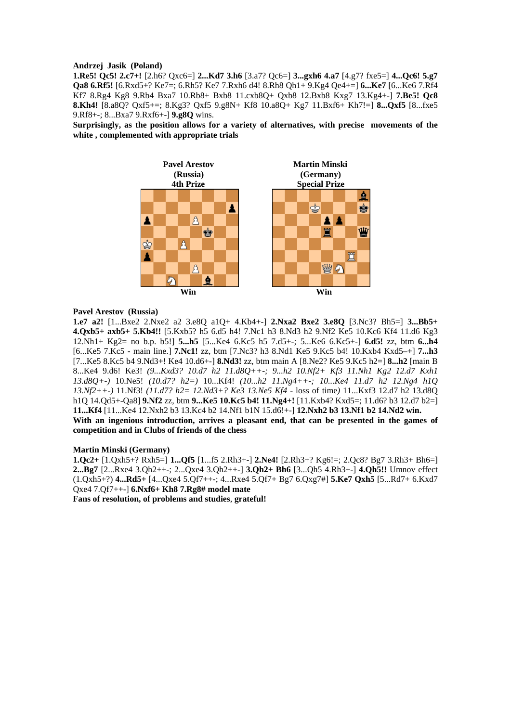### **Andrzej Jasik (Poland)**

**1.Re5! Qc5! 2.c7+!** [2.h6? Qxc6=] **2...Kd7 3.h6** [3.a7? Qc6=] **3...gxh6 4.a7** [4.g7? fxe5=] **4...Qc6! 5.g7 Qa8 6.Rf5!** [6.Rxd5+? Ke7=; 6.Rh5? Ke7 7.Rxh6 d4! 8.Rh8 Qh1+ 9.Kg4 Qe4+=] **6...Ke7** [6...Ke6 7.Rf4 Kf7 8.Rg4 Kg8 9.Rb4 Bxa7 10.Rb8+ Bxb8 11.cxb8Q+ Qxb8 12.Bxb8 Kxg7 13.Kg4+-] **7.Be5! Qc8 8.Kh4!** [8.a8Q? Qxf5+=; 8.Kg3? Qxf5 9.g8N+ Kf8 10.a8Q+ Kg7 11.Bxf6+ Kh7!=] **8...Qxf5** [8...fxe5 9.Rf8+-; 8...Bxa7 9.Rxf6+-] **9.g8Q** wins.

**Surprisingly, as the position allows for a variety of alternatives, with precise movements of the white , complemented with appropriate trials** 



#### **Pavel Arestov (Russia)**

**1.e7 a2!** [1...Bxe2 2.Nxe2 a2 3.e8Q a1Q+ 4.Kb4+-] **2.Nxa2 Bxe2 3.e8Q** [3.Nc3? Bh5=] **3...Bb5+ 4.Qxb5+ axb5+ 5.Kb4!!** [5.Kxb5? h5 6.d5 h4! 7.Nc1 h3 8.Nd3 h2 9.Nf2 Ke5 10.Kc6 Kf4 11.d6 Kg3 12.Nh1+ Kg2= no b.p. b5!] **5...h5** [5...Ke4 6.Kc5 h5 7.d5+-; 5...Ke6 6.Kc5+-] **6.d5!** zz, btm **6...h4**  [6...Ke5 7.Kc5 - main line.] **7.Nc1!** zz, btm [7.Nc3? h3 8.Nd1 Ke5 9.Kc5 b4! 10.Kxb4 Kxd5–+] **7...h3**  [7...Ke5 8.Kc5 b4 9.Nd3+! Ke4 10.d6+-] **8.Nd3!** zz, btm main A [8.Ne2? Ke5 9.Kc5 h2=] **8...h2** [main B 8...Ke4 9.d6! Ke3! *(9...Kxd3? 10.d7 h2 11.d8Q++-; 9...h2 10.Nf2+ Kf3 11.Nh1 Kg2 12.d7 Kxh1 13.d8Q+-)* 10.Ne5! *(10.d7? h2=)* 10...Kf4! *(10...h2 11.Ng4++-; 10...Ke4 11.d7 h2 12.Ng4 h1Q 13.Nf2++-)* 11.Nf3! *(11.d7? h2= 12.Nd3+? Ke3 13.Ne5 Kf4* - loss of time*)* 11...Kxf3 12.d7 h2 13.d8Q h1Q 14.Qd5+-Qa8] **9.Nf2** zz, btm **9...Ke5 10.Kc5 b4! 11.Ng4+!** [11.Kxb4? Kxd5=; 11.d6? b3 12.d7 b2=] **11...Kf4** [11...Ke4 12.Nxh2 b3 13.Kc4 b2 14.Nf1 b1N 15.d6!+-] **12.Nxh2 b3 13.Nf1 b2 14.Nd2 win. With an ingenious introduction, arrives a pleasant end, that can be presented in the games of competition and in Clubs of friends of the chess** 

### **Martin Minski (Germany)**

**1.Qc2+** [1.Qxh5+? Rxh5=] **1...Qf5** [1...f5 2.Rh3+-] **2.Ne4!** [2.Rh3+? Kg6!=; 2.Qc8? Bg7 3.Rh3+ Bh6=] **2...Bg7** [2...Rxe4 3.Qh2++-; 2...Qxe4 3.Qh2++-] **3.Qh2+ Bh6** [3...Qh5 4.Rh3+-] **4.Qh5!!** Umnov effect (1.Qxh5+?) **4...Rd5+** [4...Qxe4 5.Qf7++-; 4...Rxe4 5.Qf7+ Bg7 6.Qxg7#] **5.Ke7 Qxh5** [5...Rd7+ 6.Kxd7 Qxe4 7.Qf7++-] **6.Nxf6+ Kh8 7.Rg8# model mate** 

**Fans of resolution, of problems and studies**, **grateful!**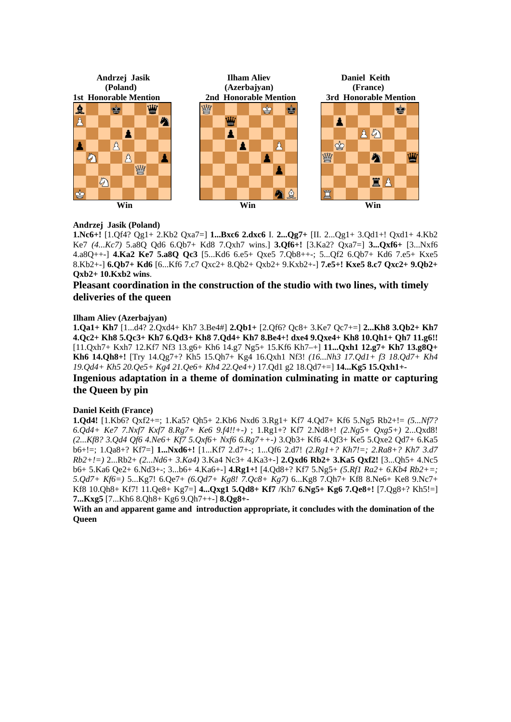

### **Andrzej Jasik (Poland)**

**1.Nc6+!** [1.Qf4? Qg1+ 2.Kb2 Qxa7=] **1...Bxc6 2.dxc6** I. **2...Qg7+** [II. 2...Qg1+ 3.Qd1+! Qxd1+ 4.Kb2 Ke7 *(4...Kc7)* 5.a8Q Qd6 6.Qb7+ Kd8 7.Qxh7 wins.] **3.Qf6+!** [3.Ka2? Qxa7=] **3...Qxf6+** [3...Nxf6 4.a8Q++-] **4.Ka2 Ke7 5.a8Q Qc3** [5...Kd6 6.e5+ Qxe5 7.Qb8++-; 5...Qf2 6.Qb7+ Kd6 7.e5+ Kxe5 8.Kb2+-] **6.Qb7+ Kd6** [6...Kf6 7.c7 Qxc2+ 8.Qb2+ Qxb2+ 9.Kxb2+-] **7.e5+! Kxe5 8.c7 Qxc2+ 9.Qb2+ Qxb2+ 10.Kxb2 wins**.

# **Pleasant coordination in the construction of the studio with two lines, with timely deliveries of the queen**

# **Ilham Aliev (Azerbajyan)**

**1.Qa1+ Kh7** [1...d4? 2.Qxd4+ Kh7 3.Be4#] **2.Qb1+** [2.Qf6? Qc8+ 3.Ke7 Qc7+=] **2...Kh8 3.Qb2+ Kh7 4.Qc2+ Kh8 5.Qc3+ Kh7 6.Qd3+ Kh8 7.Qd4+ Kh7 8.Be4+! dxe4 9.Qxe4+ Kh8 10.Qh1+ Qh7 11.g6!!**  [11.Qxh7+ Kxh7 12.Kf7 Nf3 13.g6+ Kh6 14.g7 Ng5+ 15.Kf6 Kh7–+] **11...Qxh1 12.g7+ Kh7 13.g8Q+ Kh6 14.Qh8+!** [Try 14.Qg7+? Kh5 15.Qh7+ Kg4 16.Qxh1 Nf3! *(16...Nh3 17.Qd1+ f3 18.Qd7+ Kh4 19.Qd4+ Kh5 20.Qe5+ Kg4 21.Qe6+ Kh4 22.Qe4+)* 17.Qd1 g2 18.Qd7+=] **14...Kg5 15.Qxh1+-** 

# **Ingenious adaptation in a theme of domination culminating in matte or capturing the Queen by pin**

# **Daniel Keith (France)**

**1.Qd4!** [1.Kb6? Qxf2+=; 1.Ka5? Qh5+ 2.Kb6 Nxd6 3.Rg1+ Kf7 4.Qd7+ Kf6 5.Ng5 Rb2+!= *(5...Nf7? 6.Qd4+ Ke7 7.Nxf7 Kxf7 8.Rg7+ Ke6 9.f4!!+-)* ; 1.Rg1+? Kf7 2.Nd8+! *(2.Ng5+ Qxg5+)* 2...Qxd8! *(2...Kf8? 3.Qd4 Qf6 4.Ne6+ Kf7 5.Qxf6+ Nxf6 6.Rg7++-)* 3.Qb3+ Kf6 4.Qf3+ Ke5 5.Qxe2 Qd7+ 6.Ka5 b6+!=; 1.Qa8+? Kf7=] **1...Nxd6+!** [1...Kf7 2.d7+-; 1...Qf6 2.d7! *(2.Rg1+? Kh7!=; 2.Ra8+? Kh7 3.d7 Rb2+!=)* 2...Rb2+ *(2...Nd6+ 3.Ka4)* 3.Ka4 Nc3+ 4.Ka3+-] **2.Qxd6 Rb2+ 3.Ka5 Qxf2!** [3...Qh5+ 4.Nc5 b6+ 5.Ka6 Qe2+ 6.Nd3+-; 3...b6+ 4.Ka6+-] **4.Rg1+!** [4.Qd8+? Kf7 5.Ng5+ *(5.Rf1 Ra2+ 6.Kb4 Rb2+=; 5.Qd7+ Kf6=)* 5...Kg7! 6.Qe7+ *(6.Qd7+ Kg8! 7.Qc8+ Kg7)* 6...Kg8 7.Qh7+ Kf8 8.Ne6+ Ke8 9.Nc7+ Kf8 10.Qh8+ Kf7! 11.Qe8+ Kg7=] **4...Qxg1 5.Qd8+ Kf7** /Kh7 **6.Ng5+ Kg6 7.Qe8+!** [7.Qg8+? Kh5!=] **7...Kxg5** [7...Kh6 8.Qh8+ Kg6 9.Qh7++-] **8.Qg8+-**

**With an and apparent game and introduction appropriate, it concludes with the domination of the Queen**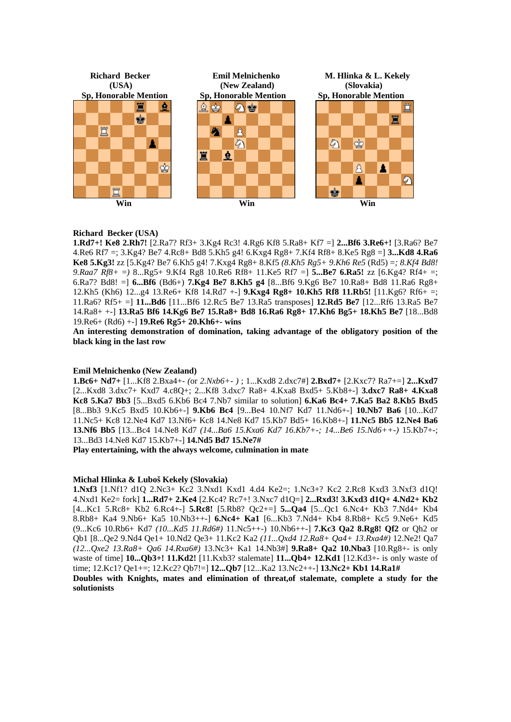

### **Richard Becker (USA)**

**1.Rd7+! Ke8 2.Rh7!** [2.Ra7? Rf3+ 3.Kg4 Rc3! 4.Rg6 Kf8 5.Ra8+ Kf7 =] **2...Bf6 3.Re6+!** [3.Ra6? Be7 4.Re6 Rf7 =; 3.Kg4? Be7 4.Rc8+ Bd8 5.Kh5 g4! 6.Kxg4 Rg8+ 7.Kf4 Rf8+ 8.Ke5 Rg8 =] **3...Kd8 4.Ra6 Ke8 5.Kg3!** zz [5.Kg4? Be7 6.Kh5 g4! 7.Kxg4 Rg8+ 8.Kf5 *(8.Kh5 Rg5+ 9.Kh6 Re5* (Rd5) =*; 8.Kf4 Bd8! 9.Raa7 Rf8+* =*)* 8...Rg5+ 9.Kf4 Rg8 10.Re6 Rf8+ 11.Ke5 Rf7 =] **5...Be7 6.Ra5!** zz [6.Kg4? Rf4+ =; 6.Ra7? Bd8! =] **6...Bf6** (Bd6+) **7.Kg4 Be7 8.Kh5 g4** [8...Bf6 9.Kg6 Be7 10.Ra8+ Bd8 11.Ra6 Rg8+ 12.Kh5 (Kh6) 12...g4 13.Re6+ Kf8 14.Rd7 +-] **9.Kxg4 Rg8+ 10.Kh5 Rf8 11.Rb5!** [11.Kg6? Rf6+ =; 11.Ra6? Rf5+ =] **11...Bd6** [11...Bf6 12.Rc5 Be7 13.Ra5 transposes] **12.Rd5 Be7** [12...Rf6 13.Ra5 Be7 14.Ra8+ +-] **13.Ra5 Bf6 14.Kg6 Be7 15.Ra8+ Bd8 16.Ra6 Rg8+ 17.Kh6 Bg5+ 18.Kh5 Be7** [18...Bd8 19.Re6+ (Rd6) +-] **19.Re6 Rg5+ 20.Kh6+- wins** 

**An interesting demonstration of domination, taking advantage of the obligatory position of the black king in the last row**

### **Emil Melnichenko (New Zealand)**

**1.Bc6+ Nd7+** [1...Kf8 2.Bxa4+- *(*or *2.Nxb6+- )* ; 1...Kxd8 2.dxc7#] **2.Bxd7+** [2.Kxc7? Ra7+=] **2...Kxd7**  [2...Kxd8 3.dxc7+ Kxd7 4.c8Q+; 2...Kf8 3.dxc7 Ra8+ 4.Kxa8 Bxd5+ 5.Kb8+-] **3.dxc7 Ra8+ 4.Kxa8 Kc8 5.Ka7 Bb3** [5...Bxd5 6.Kb6 Bc4 7.Nb7 similar to solution] **6.Ka6 Bc4+ 7.Ka5 Ba2 8.Kb5 Bxd5**  [8...Bb3 9.Kc5 Bxd5 10.Kb6+-] **9.Kb6 Bc4** [9...Be4 10.Nf7 Kd7 11.Nd6+-] **10.Nb7 Ba6** [10...Kd7 11.Nc5+ Kc8 12.Ne4 Kd7 13.Nf6+ Kc8 14.Ne8 Kd7 15.Kb7 Bd5+ 16.Kb8+-] **11.Nc5 Bb5 12.Ne4 Ba6 13.Nf6 Bb5** [13...Bc4 14.Ne8 Kd7 *(14...Ba6 15.Kxa6 Kd7 16.Kb7+-; 14...Be6 15.Nd6++-)* 15.Kb7+-; 13...Bd3 14.Ne8 Kd7 15.Kb7+-] **14.Nd5 Bd7 15.Ne7#** 

**Play entertaining, with the always welcome, culmination in mate** 

### **Michal Hlinka & Luboš Kekely (Slovakia)**

**1.Nxf3** [1.Nf1? d1Q 2.Nc3+ Kc2 3.Nxd1 Kxd1 4.d4 Ke2=; 1.Nc3+? Kc2 2.Rc8 Kxd3 3.Nxf3 d1Q! 4.Nxd1 Ke2= fork] **1...Rd7+ 2.Ke4** [2.Kc4? Rc7+! 3.Nxc7 d1Q=] **2...Rxd3! 3.Kxd3 d1Q+ 4.Nd2+ Kb2**  [4...Kc1 5.Rc8+ Kb2 6.Rc4+-] **5.Rc8!** [5.Rb8? Qc2+=] **5...Qa4** [5...Qc1 6.Nc4+ Kb3 7.Nd4+ Kb4 8.Rb8+ Ka4 9.Nb6+ Ka5 10.Nb3++-] **6.Nc4+ Ka1** [6...Kb3 7.Nd4+ Kb4 8.Rb8+ Kc5 9.Ne6+ Kd5 (9...Kc6 10.Rb6+ Kd7 *(10...Kd5 11.Rd6#)* 11.Nc5++-) 10.Nb6++-] **7.Kc3 Qa2 8.Rg8! Qf2** or Qh2 or Qb1 [8...Qe2 9.Nd4 Qe1+ 10.Nd2 Qe3+ 11.Kc2 Ka2 *(11...Qxd4 12.Ra8+ Qa4+ 13.Rxa4#)* 12.Ne2! Qa7 *(12...Qxe2 13.Ra8+ Qa6 14.Rxa6#)* 13.Nc3+ Ka1 14.Nb3#] **9.Ra8+ Qa2 10.Nba3** [10.Rg8+- is only waste of time] **10...Qb3+! 11.Kd2!** [11.Kxb3? stalemate] **11...Qb4+ 12.Kd1** [12.Kd3+- is only waste of time; 12.Kc1? Qe1+=; 12.Kc2? Qb7!=] **12...Qb7** [12...Ka2 13.Nc2++-] **13.Nc2+ Kb1 14.Ra1#** 

**Doubles with Knights, mates and elimination of threat,of stalemate, complete a study for the solutionists**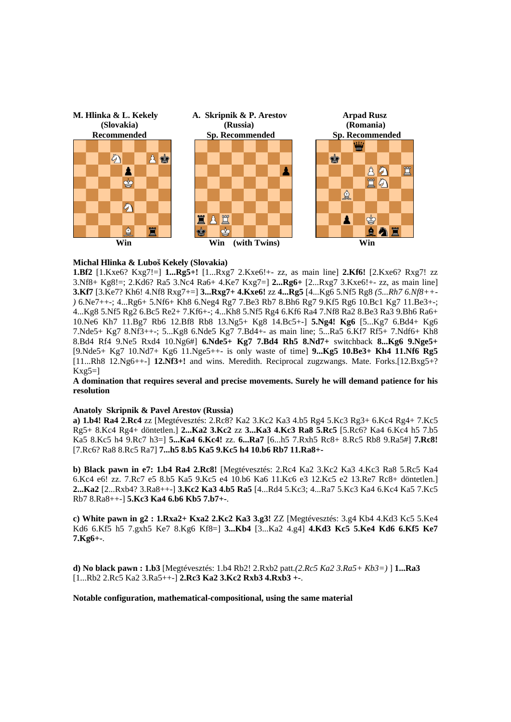

### **Michal Hlinka & Luboš Kekely (Slovakia)**

**1.Bf2** [1.Kxe6? Kxg7!=] **1...Rg5+!** [1...Rxg7 2.Kxe6!+- zz, as main line] **2.Kf6!** [2.Kxe6? Rxg7! zz 3.Nf8+ Kg8!=; 2.Kd6? Ra5 3.Nc4 Ra6+ 4.Ke7 Kxg7=] **2...Rg6+** [2...Rxg7 3.Kxe6!+- zz, as main line] **3.Kf7** [3.Ke7? Kh6! 4.Nf8 Rxg7+=] **3...Rxg7+ 4.Kxe6!** zz **4...Rg5** [4...Kg6 5.Nf5 Rg8 *(5...Rh7 6.Nf8++- )* 6.Ne7++-; 4...Rg6+ 5.Nf6+ Kh8 6.Neg4 Rg7 7.Be3 Rb7 8.Bh6 Rg7 9.Kf5 Rg6 10.Bc1 Kg7 11.Be3+-; 4...Kg8 5.Nf5 Rg2 6.Bc5 Re2+ 7.Kf6+-; 4...Kh8 5.Nf5 Rg4 6.Kf6 Ra4 7.Nf8 Ra2 8.Be3 Ra3 9.Bh6 Ra6+ 10.Ne6 Kh7 11.Bg7 Rb6 12.Bf8 Rb8 13.Ng5+ Kg8 14.Bc5+-] **5.Ng4! Kg6** [5...Kg7 6.Bd4+ Kg6 7.Nde5+ Kg7 8.Nf3++-; 5...Kg8 6.Nde5 Kg7 7.Bd4+- as main line; 5...Ra5 6.Kf7 Rf5+ 7.Ndf6+ Kh8 8.Bd4 Rf4 9.Ne5 Rxd4 10.Ng6#] **6.Nde5+ Kg7 7.Bd4 Rh5 8.Nd7+** switchback **8...Kg6 9.Nge5+**  [9.Nde5+ Kg7 10.Nd7+ Kg6 11.Nge5++- is only waste of time] **9...Kg5 10.Be3+ Kh4 11.Nf6 Rg5**  [11...Rh8 12.Ng6++-] **12.Nf3+!** and wins. Meredith. Reciprocal zugzwangs. Mate. Forks.[12.Bxg5+?  $Kxg5=1$ 

### **A domination that requires several and precise movements. Surely he will demand patience for his resolution**

### **Anatoly Skripnik & Pavel Arestov (Russia)**

**a) 1.b4! Ra4 2.Rc4** zz [Megtévesztés: 2.Rc8? Ka2 3.Kc2 Ka3 4.b5 Rg4 5.Kc3 Rg3+ 6.Kc4 Rg4+ 7.Kc5 Rg5+ 8.Kc4 Rg4+ döntetlen.] **2...Ka2 3.Kc2** zz **3...Ka3 4.Kc3 Ra8 5.Rc5** [5.Rc6? Ka4 6.Kc4 h5 7.b5 Ka5 8.Kc5 h4 9.Rc7 h3=] **5...Ka4 6.Kc4!** zz. **6...Ra7** [6...h5 7.Rxh5 Rc8+ 8.Rc5 Rb8 9.Ra5#] **7.Rc8!**  [7.Rc6? Ra8 8.Rc5 Ra7] **7...h5 8.b5 Ka5 9.Kc5 h4 10.b6 Rb7 11.Ra8+-**

**b) Black pawn in e7: 1.b4 Ra4 2.Rc8!** [Megtévesztés: 2.Rc4 Ka2 3.Kc2 Ka3 4.Kc3 Ra8 5.Rc5 Ka4 6.Kc4 e6! zz. 7.Rc7 e5 8.b5 Ka5 9.Kc5 e4 10.b6 Ka6 11.Kc6 e3 12.Kc5 e2 13.Re7 Rc8+ döntetlen.] **2...Ka2** [2...Rxb4? 3.Ra8++-] **3.Kc2 Ka3 4.b5 Ra5** [4...Rd4 5.Kc3; 4...Ra7 5.Kc3 Ka4 6.Kc4 Ka5 7.Kc5 Rb7 8.Ra8++-] **5.Kc3 Ka4 6.b6 Kb5 7.b7+-**.

**c) White pawn in g2 : 1.Rxa2+ Kxa2 2.Kc2 Ka3 3.g3!** ZZ [Megtévesztés: 3.g4 Kb4 4.Kd3 Kc5 5.Ke4 Kd6 6.Kf5 h5 7.gxh5 Ke7 8.Kg6 Kf8=] **3...Kb4** [3...Ka2 4.g4] **4.Kd3 Kc5 5.Ke4 Kd6 6.Kf5 Ke7 7.Kg6+-**.

**d) No black pawn : 1.b3** [Megtévesztés: 1.b4 Rb2! 2.Rxb2 patt.*(2.Rc5 Ka2 3.Ra5+ Kb3=)* ] **1...Ra3**  [1...Rb2 2.Rc5 Ka2 3.Ra5++-] **2.Rc3 Ka2 3.Kc2 Rxb3 4.Rxb3 +-**.

**Notable configuration, mathematical-compositional, using the same material**